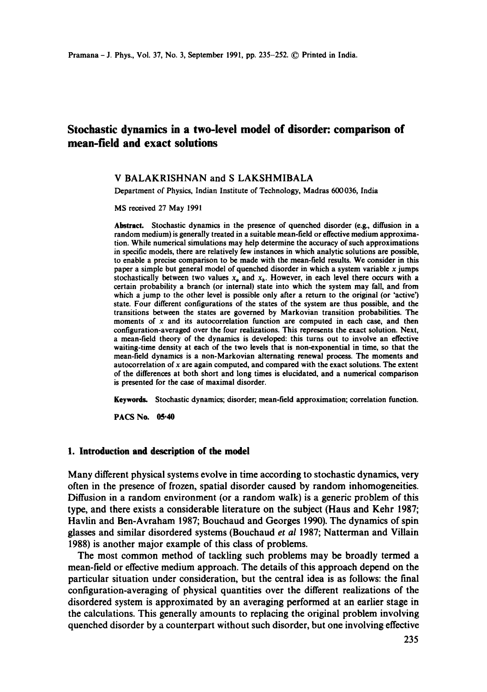# **Stochastic dynamics in a two-level model of disorder: comparison of mean-field and exact solutions**

## **V BALAKRISHNAN and S LAKSHMIBALA**

Department of Physics, Indian Institute of Technology, Madras 600036, India

MS received 27 May **1991** 

Abstract. Stochastic dynamics in the presence of quenched disorder (e.g., diffusion in a random medium) is generally treated in a suitable mean-field or effective medium approximation. While numerical simulations may help determine the accuracy of such approximations in specific models, there are relatively few instances in which analytic solutions are possible, to enable a precise comparison to be made with the mean-field results. We consider in this paper a simple but general model of quenched disorder in which a system variable x jumps stochastically between two values  $x_a$  and  $x_b$ . However, in each level there occurs with a certain probability a branch (or internal) state into which the system may fall, and from which a jump to the other level is possible only after a return to the original (or 'active') state. Four different configurations of the states of the system are thus possible, and the transitions between the states are governed by Markovian transition probabilities. The moments of  $x$  and its autocorrelation function are computed in each case, and then configuration-averaged over the four realizations. This represents the exact solution. Next, a mean-field theory of the dynamics is developed: this turns out to involve an effective waiting-time density at each of the two levels that is non-exponential in time, so that the mean-field dynamics is a non-Markovian alternating renewal process. The moments and autocorrelation of x are again computed, and compared with the exact solutions. The extent of the differences at both short and long times is elucidated, and a numerical comparison is presented for the case of maximal disorder.

Keywords. Stochastic dynamics; disorder; mean-field approximation; correlation function.

PACS No. 05.40

#### **1. Introduction and description of the model**

**Many different physical systems evolve in time according to stochastic dynamics, very often in the presence of frozen, spatial disorder caused by random inhomogeneities. Diffusion in a random environment (or a random walk) is a generic problem of this type, and there exists a considerable literature on the subject (Haus and Kehr 1987; Havlin and Ben-Avraham 1987; Bouchaud and Georges 1990). The dynamics of spin glasses and similar disordered systems (Bouchaud** *et al* **1987; Natterman and Villain 1988) is another major example of this class of problems.** 

**The most common method of tackling such problems may be broadly termed a mean-field or effective medium approach. The details of this approach depend on the particular situation under consideration, but the central idea is as follows: the final configuration-averaging of physical quantities over the different realizations of the disordered system is approximated by an averaging performed at an earlier stage in the calculations. This generally amounts to replacing the original problem involving quenched disorder by a counterpart without such disorder, but one involving effective**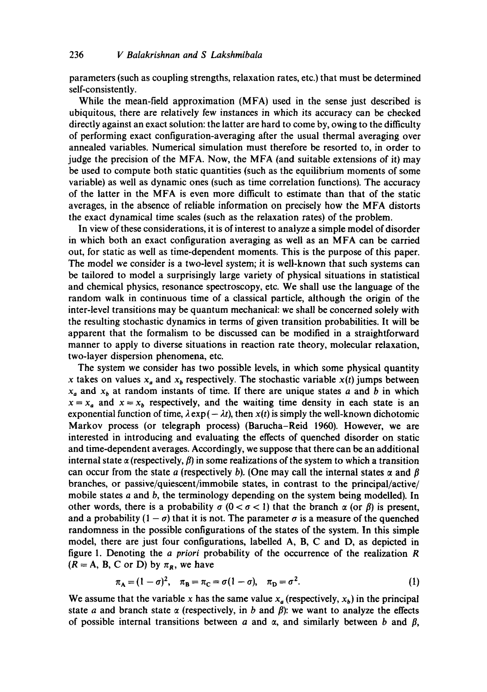parameters (such as coupling strengths, relaxation rates, etc.) that must be determined self-consistently.

While the mean-field approximation (MFA) used in the sense just described is ubiquitous, there are relatively few instances in which its accuracy can be checked directly against an exact solution: the latter are hard to come by, owing to the difficulty of performing exact configuration-averaging after the usual thermal averaging over annealed variables. Numerical simulation must therefore be resorted to, in order to judge the precision of the MFA. Now, the MFA (and suitable extensions of it) may be used to compute both static quantities (such as the equilibrium moments of some variable) as well as dynamic ones (such as time correlation functions). The accuracy of the latter in the MFA is even more difficult to estimate than that of the static averages, in the absence of reliable information on precisely how the MFA distorts the exact dynamical time scales (such as the relaxation rates) of the problem.

In view of these considerations, it is of interest to analyze a simple model of disorder in which both an exact configuration averaging as well as an MFA can be carried out, for static as well as time-dependent moments. This is the purpose of this paper. The model we consider is a two-level system; it is well-known that such systems can be tailored to model a surprisingly large variety of physical situations in statistical and chemical physics, resonance spectroscopy, etc. We shall use the language of the random walk in continuous time of a classical particle, although the origin of the inter-level transitions may be quantum mechanical: we shall be concerned solely with the resulting stochastic dynamics in terms of given transition probabilities. It will be apparent that the formalism to be discussed can be modified in a straightforward manner to apply to diverse situations in reaction rate theory, molecular relaxation, two-layer dispersion phenomena, etc.

The system we consider has two possible levels, in which some physical quantity x takes on values  $x_a$  and  $x_b$  respectively. The stochastic variable  $x(t)$  jumps between  $x_a$  and  $x_b$  at random instants of time. If there are unique states a and b in which  $x = x_a$  and  $x = x_b$  respectively, and the waiting time density in each state is an exponential function of time,  $\lambda \exp(-\lambda t)$ , then  $x(t)$  is simply the well-known dichotomic Markov process (or telegraph process) (Barucha-Reid 1960). However, we are interested in introducing and evaluating the effects of quenched disorder on static and time-dependent averages. Accordingly, we suppose that there can be an additional internal state  $\alpha$  (respectively,  $\beta$ ) in some realizations of the system to which a transition can occur from the state a (respectively b). (One may call the internal states  $\alpha$  and  $\beta$ branches, or passive/quiescent/immobile states, in contrast to the principal/active/ mobile states a and b, the terminology depending on the system being modelled). In other words, there is a probability  $\sigma$  ( $0 < \sigma < 1$ ) that the branch  $\alpha$  (or  $\beta$ ) is present, and a probability  $(1 - \sigma)$  that it is not. The parameter  $\sigma$  is a measure of the quenched randomness in the possible configurations of the states of the system. In this simple model, there are just four configurations, labelled A, B, C and D, as depicted in figure 1. Denoting the *a priori* probability of the occurrence of the realization R  $(R = A, B, C \text{ or } D)$  by  $\pi_R$ , we have

$$
\pi_{A} = (1 - \sigma)^{2}, \quad \pi_{B} = \pi_{C} = \sigma(1 - \sigma), \quad \pi_{D} = \sigma^{2}.
$$
 (1)

We assume that the variable x has the same value  $x_a$  (respectively,  $x_b$ ) in the principal state a and branch state  $\alpha$  (respectively, in b and  $\beta$ ): we want to analyze the effects of possible internal transitions between a and  $\alpha$ , and similarly between b and  $\beta$ ,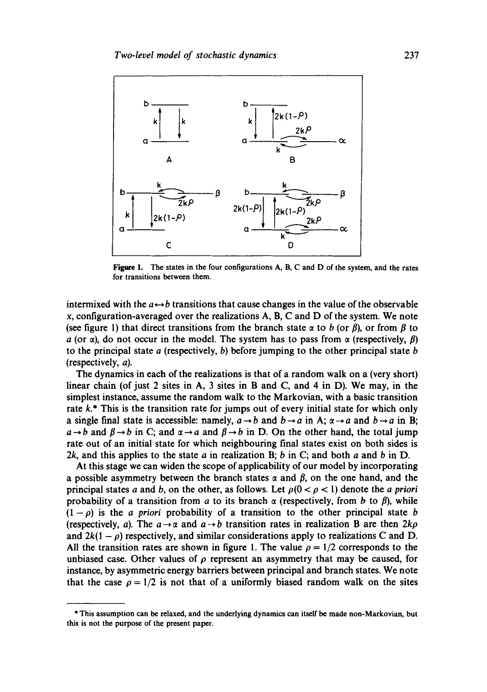

**Figure 1.** The states in the four configurations **A, B, C and D** of the system, and the rates for transitions between them.

intermixed with the  $a \leftrightarrow b$  transitions that cause changes in the value of the observable x, configuration-averaged over the realizations **A, B, C and D** of the system. We note (see figure 1) that direct transitions from the branch state  $\alpha$  to b (or  $\beta$ ), or from  $\beta$  to a (or  $\alpha$ ), do not occur in the model. The system has to pass from  $\alpha$  (respectively,  $\beta$ ) to the principal state  $a$  (respectively, b) before jumping to the other principal state  $b$ (respectively, a).

The dynamics in each of the realizations is that of a random walk on a (very short) linear chain (of just 2 sites in A, 3 sites in B and C, and 4 in D). We may, in the simplest instance, assume the random walk to the Markovian, with a basic transition rate k.\* This is the transition rate for jumps out of every initial state for which only a single final state is accessible: namely,  $a \rightarrow b$  and  $b \rightarrow a$  in A;  $\alpha \rightarrow a$  and  $b \rightarrow a$  in B;  $a \rightarrow b$  and  $\beta \rightarrow b$  in C; and  $\alpha \rightarrow a$  and  $\beta \rightarrow b$  in D. On the other hand, the total jump rate out of an initial state for which neighbouring final states exist on both sides is 2k, and this applies to the state  $a$  in realization B;  $b$  in C; and both  $a$  and  $b$  in D.

At this stage we can widen the scope of applicability of our model by incorporating a possible asymmetry between the branch states  $\alpha$  and  $\beta$ , on the one hand, and the principal states a and b, on the other, as follows. Let  $\rho(0 < \rho < 1)$  denote the a priori probability of a transition from a to its branch  $\alpha$  (respectively, from b to  $\beta$ ), while  $(1-\rho)$  is the *a priori* probability of a transition to the other principal state b (respectively, a). The  $a \rightarrow \alpha$  and  $a \rightarrow b$  transition rates in realization B are then  $2k\rho$ and  $2k(1 - \rho)$  respectively, and similar considerations apply to realizations C and D. All the transition rates are shown in figure 1. The value  $\rho = 1/2$  corresponds to the unbiased case. Other values of  $\rho$  represent an asymmetry that may be caused, for instance, by asymmetric energy barriers between principal and branch states. We note that the case  $\rho = 1/2$  is not that of a uniformly biased random walk on the sites

**<sup>\*</sup>** This assumption can be relaxed, and the underlying dynamics can itself be made non-Markovian, but this is not the purpose of the present paper.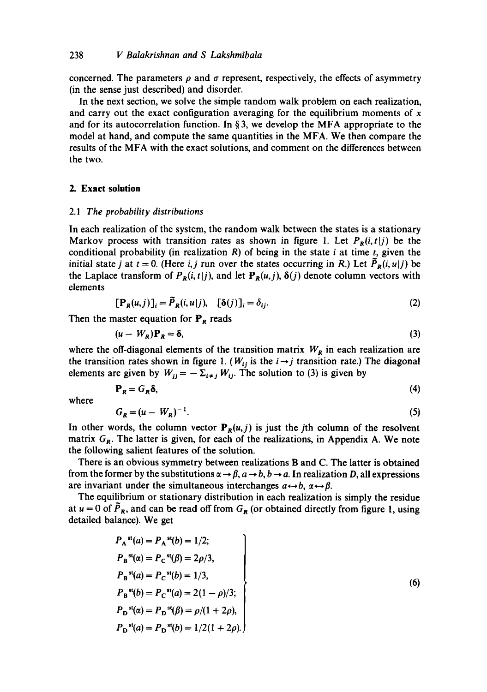concerned. The parameters  $\rho$  and  $\sigma$  represent, respectively, the effects of asymmetry (in the sense just described) and disorder.

In the next section, we solve the simple random walk problem on each realization, and carry out the exact configuration averaging for the equilibrium moments of  $x$ and for its autocorrelation function. In § 3, we develop the MFA appropriate to the model at hand, and compute the same quantities in the MFA. We then compare the results of the MFA with the exact solutions, and comment on the differences between the two.

# **2. Exact solution**

## *2.1 The probability distributions*

In each realization of the system, the random walk between the states is a stationary Markov process with transition rates as shown in figure 1. Let  $P_R(i, t|j)$  be the conditional probability (in realization  $R$ ) of being in the state *i* at time *t*, given the initial state j at  $t = 0$ . (Here *i, j* run over the states occurring in *R*.) Let  $\bar{P}_R(i, u|j)$  be the Laplace transform of  $P_R(i, t|j)$ , and let  $P_R(u, j)$ ,  $\delta(j)$  denote column vectors with elements

$$
[\mathbf{P}_R(u,j)]_i = \tilde{P}_R(i,u|j), \quad [\delta(j)]_i = \delta_{ij}.
$$
 (2)

Then the master equation for  $P_R$  reads

$$
(\mathbf{u} - W_R)\mathbf{P}_R = \delta,\tag{3}
$$

where the off-diagonal elements of the transition matrix  $W_R$  in each realization are the transition rates shown in figure 1. ( $W_{ij}$  is the  $i \rightarrow j$  transition rate.) The diagonal elements are given by  $W_{jj} = -\sum_{i \neq j} W_{ij}$ . The solution to (3) is given by

$$
\mathbf{P}_R = G_R \delta,\tag{4}
$$

where

$$
G_R = (u - W_R)^{-1}.\tag{5}
$$

In other words, the column vector  $P_R(u, j)$  is just the jth column of the resolvent matrix  $G_R$ . The latter is given, for each of the realizations, in Appendix A. We note the following salient features of the solution.

There is an obvious symmetry between realizations B and C. The latter is obtained from the former by the substitutions  $\alpha \rightarrow \beta$ ,  $a \rightarrow b$ ,  $b \rightarrow a$ . In realization D, all expressions are invariant under the simultaneous interchanges  $a \leftrightarrow b$ ,  $\alpha \leftrightarrow \beta$ .

The equilibrium or stationary distribution in each realization is simply the residue at  $u = 0$  of  $P_R$ , and can be read off from  $G_R$  (or obtained directly from figure 1, using detailed balance). We get

$$
P_A^{st}(a) = P_A^{st}(b) = 1/2;
$$
  
\n
$$
P_B^{st}(\alpha) = P_C^{st}(\beta) = 2\rho/3,
$$
  
\n
$$
P_B^{st}(a) = P_C^{st}(b) = 1/3,
$$
  
\n
$$
P_B^{st}(b) = P_C^{st}(a) = 2(1 - \rho)/3;
$$
  
\n
$$
P_D^{st}(\alpha) = P_D^{st}(\beta) = \rho/(1 + 2\rho),
$$
  
\n
$$
P_D^{st}(a) = P_D^{st}(b) = 1/2(1 + 2\rho).
$$
  
\n(6)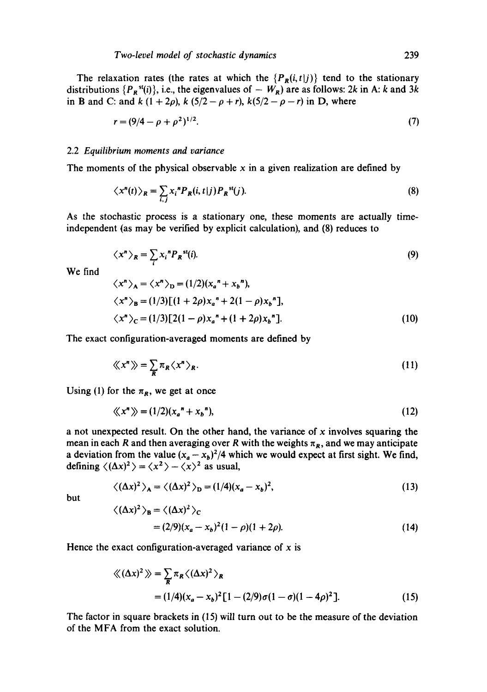The relaxation rates (the rates at which the  ${P_R(i,t|j)}$  tend to the stationary distributions  $\{P_{\mathbf{R}}^{st}(i)\}\)$ , i.e., the eigenvalues of  $-W_{\mathbf{R}}$  are as follows: 2k in A: k and 3k in B and C: and k  $(1 + 2\rho)$ , k  $(5/2 - \rho + r)$ , k $(5/2 - \rho - r)$  in D, where

$$
r = (9/4 - \rho + \rho^2)^{1/2}.
$$
 (7)

#### *2.2 Equilibrium moments and variance*

The moments of the physical observable  $x$  in a given realization are defined by

$$
\langle x^n(t) \rangle_R = \sum_{i,j} x_i^n P_R(i,t|j) P_R^{st}(j). \tag{8}
$$

As the stochastic process is a stationary one, these moments are actually timeindependent (as may be verified by explicit calculation), and (8) reduces to

$$
\langle x^n \rangle_R = \sum_i x_i^n P_R^{st}(i). \tag{9}
$$

We find

$$
\langle x^{n} \rangle_{A} = \langle x^{n} \rangle_{D} = (1/2)(x_{a}^{n} + x_{b}^{n}),
$$
  
\n
$$
\langle x^{n} \rangle_{B} = (1/3)[(1 + 2\rho)x_{a}^{n} + 2(1 - \rho)x_{b}^{n}],
$$
  
\n
$$
\langle x^{n} \rangle_{C} = (1/3)[2(1 - \rho)x_{a}^{n} + (1 + 2\rho)x_{b}^{n}].
$$
\n(10)

The exact configuration-averaged moments are defined by

$$
\langle\!\langle x^n \rangle\!\rangle = \sum_{R} \pi_R \langle x^n \rangle_R. \tag{11}
$$

Using (1) for the  $\pi_R$ , we get at once

$$
\langle\!\langle x^n \rangle\!\rangle = (1/2)(x_a^n + x_b^n),\tag{12}
$$

a not unexpected result. On the other hand, the variance of  $x$  involves squaring the mean in each R and then averaging over R with the weights  $\pi_R$ , and we may anticipate a deviation from the value  $(x_a - x_b)^2/4$  which we would expect at first sight. We find, defining  $\langle (\Delta x)^2 \rangle = \langle x^2 \rangle - \langle x \rangle^2$  as usual,

$$
\langle (\Delta x)^2 \rangle_A = \langle (\Delta x)^2 \rangle_D = (1/4)(x_a - x_b)^2,\tag{13}
$$

but

$$
\langle (\Delta x)^2 \rangle_B = \langle (\Delta x)^2 \rangle_C
$$
  
=  $(2/9)(x_a - x_b)^2 (1 - \rho)(1 + 2\rho).$  (14)

Hence the exact configuration-averaged variance of  $x$  is

$$
\langle (\Delta x)^2 \rangle = \sum_{R} \pi_R \langle (\Delta x)^2 \rangle_R
$$
  
= (1/4)(x<sub>a</sub> - x<sub>b</sub>)<sup>2</sup> [1 – (2/9)σ(1 – σ)(1 – 4ρ)<sup>2</sup>]. (15)

The factor in square brackets in (15) will turn out to be the measure of the deviation of the MFA from the exact solution.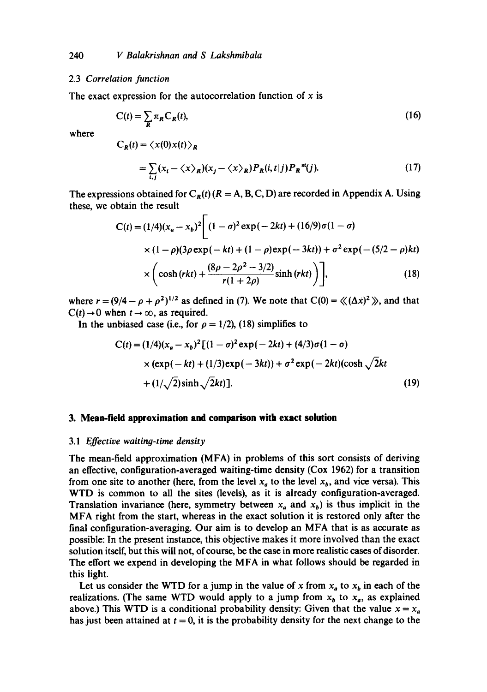## 2.3 *Correlation function*

The exact expression for the autocorrelation function of  $x$  is

$$
C(t) = \sum_{R} \pi_R C_R(t),
$$
\n(16)

where

$$
C_R(t) = \langle x(0)x(t) \rangle_R
$$
  
=  $\sum_{i,j} (x_i - \langle x \rangle_R)(x_j - \langle x \rangle_R) P_R(i, t|j) P_R^{st}(j).$  (17)

The expressions obtained for  $C_R(t)$  ( $R = A, B, C, D$ ) are recorded in Appendix A. Using these, we obtain the result

$$
C(t) = (1/4)(x_a - x_b)^2 \left[ (1 - \sigma)^2 \exp(-2kt) + (16/9)\sigma(1 - \sigma) \times (1 - \rho)(3\rho \exp(-kt) + (1 - \rho)\exp(-3kt)) + \sigma^2 \exp(-\frac{5}{2} - \rho)kt) \times \left( \cosh(rkt) + \frac{(8\rho - 2\rho^2 - 3/2)}{r(1 + 2\rho)} \sinh(rkt) \right) \right],
$$
 (18)

where  $r = (9/4 - \rho + \rho^2)^{1/2}$  as defined in (7). We note that  $C(0) = \langle (\Delta x)^2 \rangle$ , and that  $C(t) \rightarrow 0$  when  $t \rightarrow \infty$ , as required.

In the unbiased case (i.e., for  $\rho = 1/2$ ), (18) simplifies to

$$
C(t) = (1/4)(x_a - x_b)^2 [(1 - \sigma)^2 \exp(-2kt) + (4/3)\sigma(1 - \sigma)
$$
  
× (exp(-kt) + (1/3)exp(-3kt)) +  $\sigma^2$ exp(-2kt)(cosh $\sqrt{2kt}$   
+ (1/ $\sqrt{2}$ )sinh $\sqrt{2kt}$ ]. (19)

#### **3. Mean-field approximation and comparison with exact solution**

## 3.1 *Effective waiting-time density*

The mean-field approximation (MFA) in problems of this sort consists of deriving an effective, configuration-averaged waiting-time density (Cox 1962) for a transition from one site to another (here, from the level  $x_a$  to the level  $x_b$ , and vice versa). This WTD is common to all the sites (levels), as it is already configuration-averaged. Translation invariance (here, symmetry between  $x_a$  and  $x_b$ ) is thus implicit in the MFA right from the start, whereas in the exact solution it is restored only after the final configuration-averaging. Our aim is to develop an MFA that is as accurate as possible: In the present instance, this objective makes it more involved than the exact solution itself, but this will not, of course, be the case in more realistic cases of disorder. The effort we expend in developing the MFA in what follows should be regarded in this light.

Let us consider the WTD for a jump in the value of x from  $x_a$  to  $x_b$  in each of the realizations. (The same WTD would apply to a jump from  $x<sub>b</sub>$  to  $x<sub>a</sub>$ , as explained above.) This WTD is a conditional probability density: Given that the value  $x = x_a$ has just been attained at  $t = 0$ , it is the probability density for the next change to the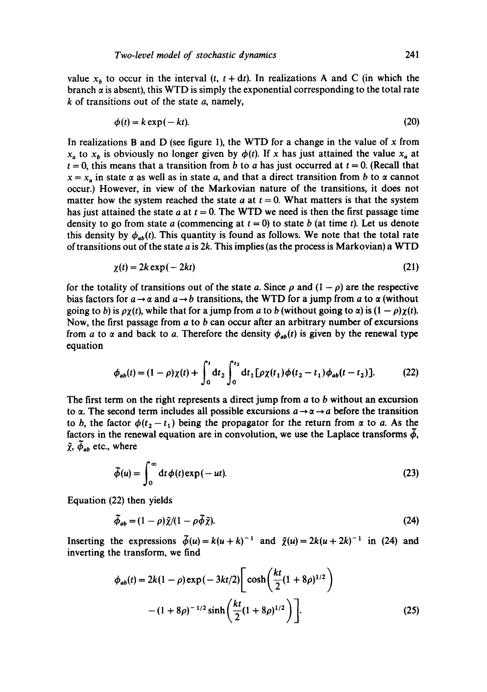value  $x_b$  to occur in the interval  $(t, t + dt)$ . In realizations A and C (in which the branch  $\alpha$  is absent), this WTD is simply the exponential corresponding to the total rate  $k$  of transitions out of the state  $a$ , namely,

$$
\phi(t) = k \exp(-kt). \tag{20}
$$

In realizations B and D (see figure 1), the WTD for a change in the value of  $x$  from  $x_a$  to  $x_b$  is obviously no longer given by  $\phi(t)$ . If x has just attained the value  $x_a$  at  $t = 0$ , this means that a transition from b to a has just occurred at  $t = 0$ . (Recall that  $x = x_a$  in state  $\alpha$  as well as in state a, and that a direct transition from b to  $\alpha$  cannot occur.) However, in view of the Markovian nature of the transitions, it does not matter how the system reached the state a at  $t = 0$ . What matters is that the system has just attained the state a at  $t = 0$ . The WTD we need is then the first passage time density to go from state a (commencing at  $t = 0$ ) to state b (at time t). Let us denote this density by  $\phi_{ab}(t)$ . This quantity is found as follows. We note that the total rate of transitions out of the state  $a$  is 2k. This implies (as the process is Markovian) a WTD

$$
\chi(t) = 2k \exp(-2kt) \tag{21}
$$

for the totality of transitions out of the state a. Since  $\rho$  and  $(1 - \rho)$  are the respective bias factors for  $a \rightarrow \alpha$  and  $a \rightarrow b$  transitions, the WTD for a jump from a to  $\alpha$  (without going to b) is  $\rho\chi(t)$ , while that for a jump from a to b (without going to  $\alpha$ ) is  $(1 - \rho)\chi(t)$ . Now, the first passage from  $a$  to  $b$  can occur after an arbitrary number of excursions from a to  $\alpha$  and back to a. Therefore the density  $\phi_{ab}(t)$  is given by the renewal type equation

$$
\phi_{ab}(t) = (1 - \rho)\chi(t) + \int_0^t dt_2 \int_0^{t_2} dt_1 [\rho \chi(t_1) \phi(t_2 - t_1) \phi_{ab}(t - t_2)]. \tag{22}
$$

The first term on the right represents a direct jump from  $a$  to  $b$  without an excursion to  $\alpha$ . The second term includes all possible excursions  $a \rightarrow \alpha \rightarrow a$  before the transition to b, the factor  $\phi(t_2 - t_1)$  being the propagator for the return from  $\alpha$  to a. As the factors in the renewal equation are in convolution, we use the Laplace transforms  $\phi$ ,  $\tilde{\chi},~\phi_{ab}$  etc., where

$$
\widetilde{\phi}(u) = \int_0^\infty dt \, \phi(t) \exp(-ut). \tag{23}
$$

Equation (22) then yields

$$
\tilde{\phi}_{ab} = (1 - \rho)\tilde{\chi}/(1 - \rho\tilde{\phi}\tilde{\chi}).\tag{24}
$$

Inserting the expressions  $\tilde{\phi}(u) = k(u + k)^{-1}$  and  $\tilde{\chi}(u) = 2k(u + 2k)^{-1}$  in (24) and inverting the transform, we find

$$
\phi_{ab}(t) = 2k(1-\rho) \exp(-3kt/2) \left[ \cosh\left(\frac{kt}{2}(1+8\rho)^{1/2}\right) - (1+8\rho)^{-1/2} \sinh\left(\frac{kt}{2}(1+8\rho)^{1/2}\right) \right].
$$
\n(25)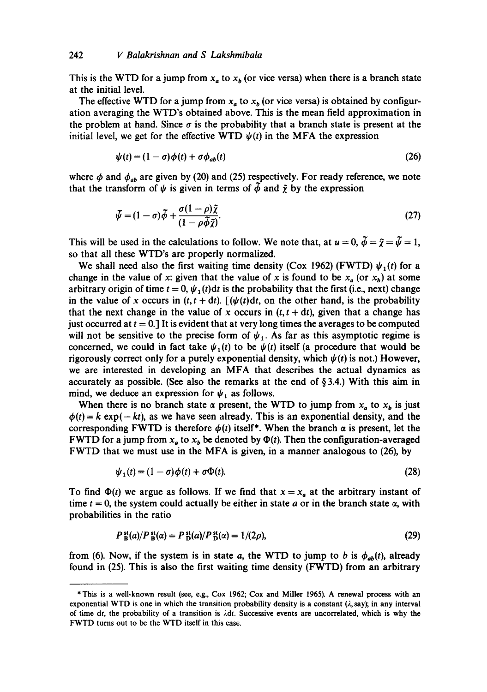This is the WTD for a jump from  $x_a$  to  $x_b$  (or vice versa) when there is a branch state at the initial level.

The effective WTD for a jump from  $x_a$  to  $x_b$  (or vice versa) is obtained by configuration averaging the WTD's obtained above. This is the mean field approximation in the problem at hand. Since  $\sigma$  is the probability that a branch state is present at the initial level, we get for the effective WTD  $\psi(t)$  in the MFA the expression

$$
\psi(t) = (1 - \sigma)\phi(t) + \sigma\phi_{ab}(t) \tag{26}
$$

where  $\phi$  and  $\phi_{ab}$  are given by (20) and (25) respectively. For ready reference, we note that the transform of  $\psi$  is given in terms of  $\phi$  and  $\tilde{\chi}$  by the expression

$$
\tilde{\psi} = (1 - \sigma)\tilde{\phi} + \frac{\sigma(1 - \rho)\tilde{\chi}}{(1 - \rho\tilde{\phi}\tilde{\chi})}.
$$
\n(27)

This will be used in the calculations to follow. We note that, at  $u = 0$ ,  $\tilde{\phi} = \tilde{\gamma} = \tilde{\psi} = 1$ , so that all these WTD's arc properly normalized.

We shall need also the first waiting time density (Cox 1962) (FWTD)  $\psi_1(t)$  for a change in the value of x: given that the value of x is found to be  $x_a$  (or  $x_b$ ) at some arbitrary origin of time  $t = 0$ ,  $\psi_1(t)dt$  is the probability that the first (i.e., next) change in the value of x occurs in  $(t, t + dt)$ .  $[(\psi(t)dt, \text{ on the other hand, is the probability}]$ that the next change in the value of x occurs in  $(t, t + dt)$ , given that a change has just occurred at  $t = 0$ .] It is evident that at very long times the averages to be computed will not be sensitive to the precise form of  $\psi_1$ . As far as this asymptotic regime is concerned, we could in fact take  $\psi_1(t)$  to be  $\psi(t)$  itself (a procedure that would be rigorously correct only for a purely exponential density, which  $\psi(t)$  is not.) However, we are interested in developing an MFA that describes the actual dynamics as accurately as possible. (See also the remarks at the end of  $\S 3.4$ .) With this aim in mind, we deduce an expression for  $\psi_1$  as follows.

When there is no branch state  $\alpha$  present, the WTD to jump from  $x_a$  to  $x_b$  is just  $\phi(t) = k \exp(-kt)$ , as we have seen already. This is an exponential density, and the corresponding FWTD is therefore  $\phi(t)$  itself\*. When the branch  $\alpha$  is present, let the FWTD for a jump from  $x_a$  to  $x_b$  be denoted by  $\Phi(t)$ . Then the configuration-averaged FWTD that we must use in the MFA is given, in a manner analogous to (26), by

$$
\psi_1(t) = (1 - \sigma)\phi(t) + \sigma\Phi(t). \tag{28}
$$

To find  $\Phi(t)$  we argue as follows. If we find that  $x = x_a$  at the arbitrary instant of time  $t = 0$ , the system could actually be either in state a or in the branch state  $\alpha$ , with probabilities in the ratio

$$
P_{\mathbf{B}}^{\mathbf{st}}(a)/P_{\mathbf{B}}^{\mathbf{st}}(\alpha) = P_{\mathbf{D}}^{\mathbf{st}}(a)/P_{\mathbf{D}}^{\mathbf{st}}(\alpha) = 1/(2\rho),\tag{29}
$$

from (6). Now, if the system is in state a, the WTD to jump to b is  $\phi_{ab}(t)$ , already found in (25). This is also the first waiting time density (FWTD) from an arbitrary

<sup>\*</sup> This is a well-known result (see, e.g., Cox 1962; Cox and Miller 1965). A renewal process with an exponential WTD is one in which the transition probability density is a constant  $(\lambda, say)$ ; in any interval of time dt, the probability of a transition is  $\lambda dt$ . Successive events are uncorrelated, which is why the FWTD turns out to be the WTD itself in this case.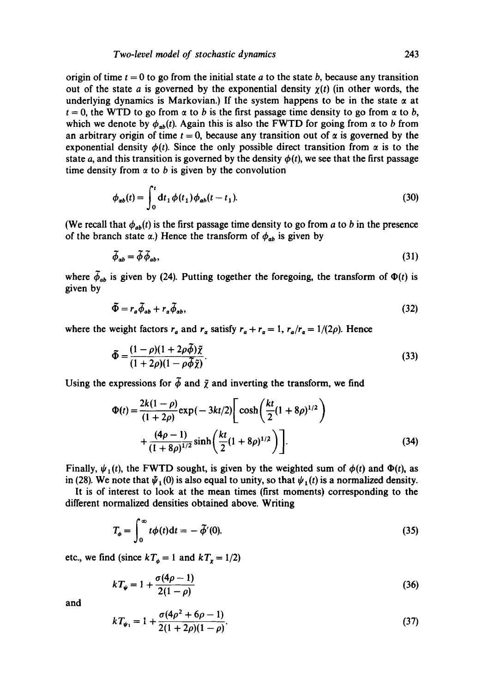origin of time  $t = 0$  to go from the initial state a to the state b, because any transition out of the state a is governed by the exponential density  $\chi(t)$  (in other words, the underlying dynamics is Markovian.) If the system happens to be in the state  $\alpha$  at  $t = 0$ , the WTD to go from  $\alpha$  to b is the first passage time density to go from  $\alpha$  to b, which we denote by  $\phi_{ab}(t)$ . Again this is also the FWTD for going from  $\alpha$  to b from an arbitrary origin of time  $t = 0$ , because any transition out of  $\alpha$  is governed by the exponential density  $\phi(t)$ . Since the only possible direct transition from  $\alpha$  is to the state a, and this transition is governed by the density  $\phi(t)$ , we see that the first passage time density from  $\alpha$  to b is given by the convolution

$$
\phi_{ab}(t) = \int_0^t dt_1 \, \phi(t_1) \, \phi_{ab}(t - t_1). \tag{30}
$$

(We recall that  $\phi_{ab}(t)$  is the first passage time density to go from a to b in the presence of the branch state  $\alpha$ .) Hence the transform of  $\phi_{ab}$  is given by

$$
\tilde{\phi}_{ab} = \tilde{\phi}\,\tilde{\phi}_{ab},\tag{31}
$$

where  $\tilde{\phi}_{ab}$  is given by (24). Putting together the foregoing, the transform of  $\Phi(t)$  is given by

$$
\tilde{\Phi} = r_a \tilde{\phi}_{ab} + r_a \tilde{\phi}_{ab},\tag{32}
$$

where the weight factors  $r_a$  and  $r_a$  satisfy  $r_a + r_a = 1$ ,  $r_a/r_a = 1/(2\rho)$ . Hence

$$
\tilde{\Phi} = \frac{(1 - \rho)(1 + 2\rho\tilde{\phi})\tilde{\chi}}{(1 + 2\rho)(1 - \rho\tilde{\phi}\tilde{\chi})}.
$$
\n(33)

Using the expressions for  $\tilde{\phi}$  and  $\tilde{\chi}$  and inverting the transform, we find

$$
\Phi(t) = \frac{2k(1-\rho)}{(1+2\rho)} \exp(-3kt/2) \left[ \cosh\left(\frac{kt}{2}(1+8\rho)^{1/2}\right) + \frac{(4\rho-1)}{(1+8\rho)^{1/2}} \sinh\left(\frac{kt}{2}(1+8\rho)^{1/2}\right) \right].
$$
\n(34)

Finally,  $\psi_1(t)$ , the FWTD sought, is given by the weighted sum of  $\phi(t)$  and  $\Phi(t)$ , as in (28). We note that  $\bar{\psi}_1(0)$  is also equal to unity, so that  $\psi_1(t)$  is a normalized density.

It is of interest to look at the mean times (first moments) corresponding to the different normalized densities obtained above. Writing

$$
T_{\phi} = \int_0^{\infty} t \phi(t) dt = -\tilde{\phi}'(0). \tag{35}
$$

etc., we find (since  $kT_{\phi} = 1$  and  $kT_{\chi} = 1/2$ )

$$
kT_{\psi} = 1 + \frac{\sigma(4\rho - 1)}{2(1 - \rho)}
$$
\n(36)

**and** 

$$
kT_{\psi_1} = 1 + \frac{\sigma(4\rho^2 + 6\rho - 1)}{2(1 + 2\rho)(1 - \rho)}.
$$
\n(37)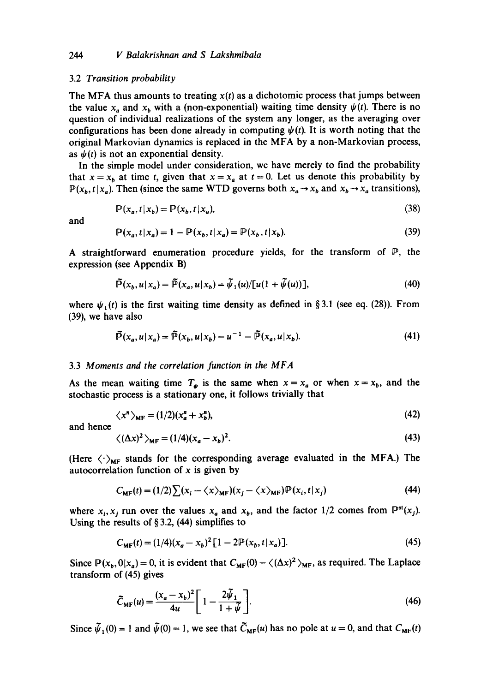## *244 V Balakrishnan and S Lakshmibala*

#### 3.2 *Transition probability*

The MFA thus amounts to treating  $x(t)$  as a dichotomic process that jumps between the value  $x_a$  and  $x_b$  with a (non-exponential) waiting time density  $\psi(t)$ . There is no question of individual realizations of the system any longer, as the averaging over configurations has been done already in computing  $\psi(t)$ . It is worth noting that the original Markovian dynamics is replaced in the MFA by a non-Markovian process, as  $\psi(t)$  is not an exponential density.

In the simple model under consideration, we have merely to find the probability that  $x = x_b$  at time t, given that  $x = x_a$  at  $t = 0$ . Let us denote this probability by  $P(x_b, t | x_a)$ . Then (since the same WTD governs both  $x_a \rightarrow x_b$  and  $x_b \rightarrow x_a$  transitions),

$$
\mathbb{P}(x_a, t | x_b) = \mathbb{P}(x_b, t | x_a),\tag{38}
$$

and

$$
\mathbb{P}(x_a, t | x_a) = 1 - \mathbb{P}(x_b, t | x_a) = \mathbb{P}(x_b, t | x_b). \tag{39}
$$

A straightforward enumeration procedure yields, for the transform of P, the expression (see Appendix B)

$$
\widetilde{\mathbb{P}}(x_b, u | x_a) = \widetilde{\mathbb{P}}(x_a, u | x_b) = \widetilde{\psi}_1(u) / [u(1 + \widetilde{\psi}(u))],\tag{40}
$$

where  $\psi_1(t)$  is the first waiting time density as defined in §3.1 (see eq. (28)). From (39), we have also

$$
\widetilde{\mathbb{P}}(x_a, u | x_a) = \widetilde{\mathbb{P}}(x_b, u | x_b) = u^{-1} - \widetilde{\mathbb{P}}(x_a, u | x_b). \tag{41}
$$

#### 3.3 *Moments and the correlation function in the MFA*

As the mean waiting time  $T_{\psi}$  is the same when  $x = x_a$  or when  $x = x_b$ , and the stochastic process is a stationary one, it follows trivially that

$$
\langle x^n \rangle_{\text{MF}} = (1/2)(x_a^n + x_b^n),\tag{42}
$$

and hence

$$
\langle (\Delta x)^2 \rangle_{\text{MF}} = (1/4)(x_a - x_b)^2. \tag{43}
$$

(Here  $\langle \cdot \rangle_{MF}$  stands for the corresponding average evaluated in the MFA.) The autocorrelation function of  $x$  is given by

$$
C_{\text{MF}}(t) = (1/2) \sum (x_i - \langle x \rangle_{\text{MF}})(x_j - \langle x \rangle_{\text{MF}}) \mathbb{P}(x_i, t | x_j)
$$
(44)

where  $x_i, x_j$  run over the values  $x_a$  and  $x_b$ , and the factor 1/2 comes from  $\mathbb{P}^{\text{st}}(x_j)$ . Using the results of  $\S 3.2$ , (44) simplifies to

$$
C_{\text{MF}}(t) = (1/4)(x_a - x_b)^2 [1 - 2\mathbb{P}(x_b, t | x_a)]. \tag{45}
$$

Since  $P(x_b,0|x_a)=0$ , it is evident that  $C_{MF}(0)=\langle (\Delta x)^2 \rangle_{MF}$ , as required. The Laplace transform of (45) gives

$$
\widetilde{C}_{\text{MF}}(u) = \frac{(x_a - x_b)^2}{4u} \left[ 1 - \frac{2\widetilde{\psi}_1}{1 + \widetilde{\psi}} \right].
$$
\n(46)

Since  $\tilde{\psi}_1(0) = 1$  and  $\tilde{\psi}(0) = 1$ , we see that  $\tilde{C}_{MF}(u)$  has no pole at  $u = 0$ , and that  $C_{MF}(t)$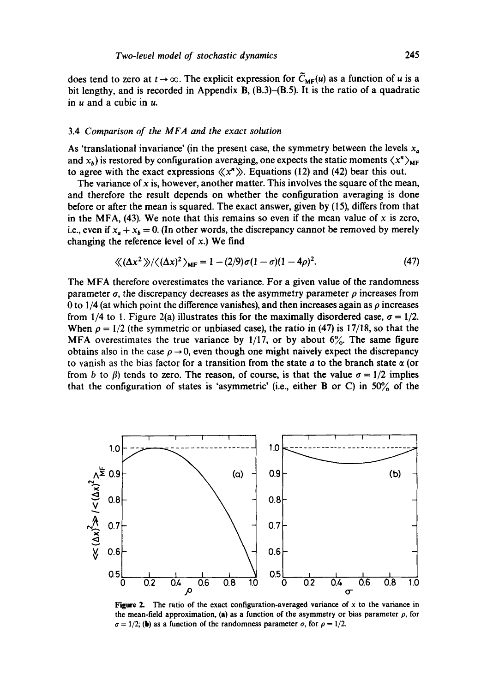does tend to zero at  $t \to \infty$ . The explicit expression for  $\tilde{C}_{MF}(u)$  as a function of u is a bit lengthy, and is recorded in Appendix B, (B.3)-(B.5). It is the ratio of a quadratic in  $u$  and a cubic in  $u$ .

#### 3.4 *Comparison of the MFA and the exact solution*

As 'translational invariance' (in the present case, the symmetry between the levels  $x_a$ and  $x_b$ ) is restored by configuration averaging, one expects the static moments  $\langle x^n \rangle_{MF}$ to agree with the exact expressions  $\langle x^n \rangle$ . Equations (12) and (42) bear this out.

The variance of x is, however, another matter. This involves the square of the mean, and therefore the result depends on whether the configuration averaging is done before or after the mean is squared. The exact answer, given by (15), differs from that in the MFA, (43). We note that this remains so even if the mean value of x is zero, i.e., even if  $x_a + x_b = 0$ . (In other words, the discrepancy cannot be removed by merely changing the reference level of  $x$ .) We find

$$
\langle \langle (\Delta x^2) \rangle / \langle (\Delta x)^2 \rangle_{\text{MF}} = 1 - (2/9)\sigma (1 - \sigma)(1 - 4\rho)^2. \tag{47}
$$

The MFA therefore overestimates the variance. For a given value of the randomness parameter  $\sigma$ , the discrepancy decreases as the asymmetry parameter  $\rho$  increases from 0 to 1/4 (at which point the difference vanishes), and then increases again as  $\rho$  increases from 1/4 to 1. Figure 2(a) illustrates this for the maximally disordered case,  $\sigma = 1/2$ . When  $\rho = 1/2$  (the symmetric or unbiased case), the ratio in (47) is 17/18, so that the MFA overestimates the true variance by  $1/17$ , or by about  $6\%$ . The same figure obtains also in the case  $\rho \rightarrow 0$ , even though one might naively expect the discrepancy to vanish as the bias factor for a transition from the state a to the branch state  $\alpha$  (or from b to  $\beta$ ) tends to zero. The reason, of course, is that the value  $\sigma = 1/2$  implies that the configuration of states is 'asymmetric' (i.e., either B or C) in 50% of the



**Figure 2.** The ratio of the exact configuration-averaged variance of  $x$  to the variance in the mean-field approximation, (a) as a function of the asymmetry or bias parameter  $\rho$ , for  $\sigma = 1/2$ ; (b) as a function of the randomness parameter  $\sigma$ , for  $\rho = 1/2$ .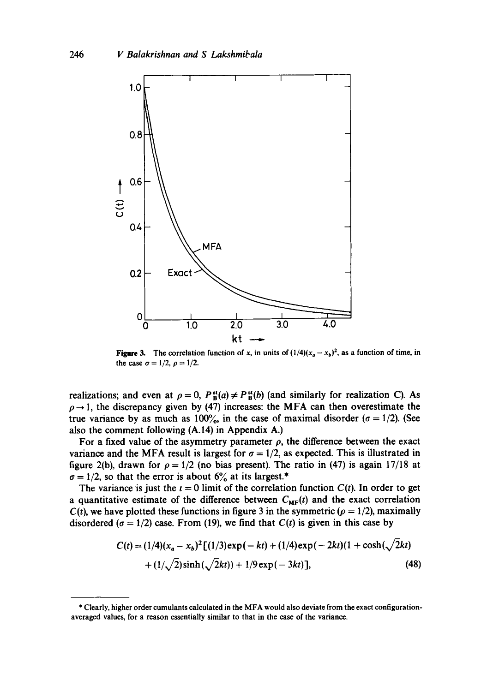

Figure 3. The correlation function of x, in units of  $(1/4)(x_a - x_b)^2$ , as a function of time, in the case  $\sigma = 1/2$ ,  $\rho = 1/2$ .

realizations; and even at  $\rho = 0$ ,  $P_B^{st}(a) \neq P_B^{st}(b)$  (and similarly for realization C). As  $\rho \rightarrow 1$ , the discrepancy given by (47) increases: the MFA can then overestimate the true variance by as much as 100%, in the case of maximal disorder ( $\sigma = 1/2$ ). (See also the comment following (A.14) in Appendix A.)

For a fixed value of the asymmetry parameter  $\rho$ , the difference between the exact variance and the MFA result is largest for  $\sigma = 1/2$ , as expected. This is illustrated in figure 2(b), drawn for  $\rho = 1/2$  (no bias present). The ratio in (47) is again 17/18 at  $\sigma = 1/2$ , so that the error is about 6% at its largest.\*

The variance is just the  $t = 0$  limit of the correlation function  $C(t)$ . In order to get a quantitative estimate of the difference between  $C_{MF}(t)$  and the exact correlation  $C(t)$ , we have plotted these functions in figure 3 in the symmetric ( $\rho = 1/2$ ), maximally disordered ( $\sigma = 1/2$ ) case. From (19), we find that  $C(t)$  is given in this case by

$$
C(t) = (1/4)(x_a - x_b)^2 [(1/3) \exp(-kt) + (1/4) \exp(-2kt)(1 + \cosh(\sqrt{2kt}) + (1/\sqrt{2}) \sinh(\sqrt{2kt})) + 1/9 \exp(-3kt)],
$$
\n(48)

<sup>\*</sup> Clearly, higher order cumulants calculated in the MFA would also deviate from the exact configurationaveraged values, for a reason essentially similar to that in the case of the variance.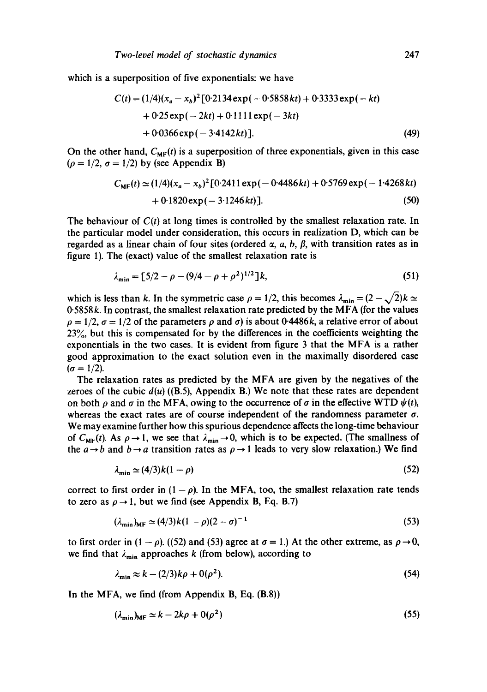which is a superposition of five exponentials: we have

$$
C(t) = (1/4)(x_a - x_b)^2 [0.2134 \exp(-0.5858 kt) + 0.3333 \exp(-kt) + 0.25 \exp(-2kt) + 0.1111 \exp(-3kt) + 0.0366 \exp(-3.4142 kt)]. \tag{49}
$$

On the other hand,  $C_{MF}(t)$  is a superposition of three exponentials, given in this case  $(\rho = 1/2, \sigma = 1/2)$  by (see Appendix B)

$$
C_{\text{MF}}(t) \simeq (1/4)(x_a - x_b)^2 [0.2411 \exp(-0.4486 \, kt) + 0.5769 \exp(-1.4268 \, kt) + 0.1820 \exp(-3.1246 \, kt)].
$$
\n(50)

The behaviour of  $C(t)$  at long times is controlled by the smallest relaxation rate. In the particular model under consideration, this occurs in realization D, which can be regarded as a linear chain of four sites (ordered  $\alpha$ , a, b,  $\beta$ , with transition rates as in figure 1). The (exact) value of the smallest relaxation rate is

$$
\lambda_{\min} = [5/2 - \rho - (9/4 - \rho + \rho^2)^{1/2}]k,\tag{51}
$$

which is less than k. In the symmetric case  $\rho = 1/2$ , this becomes  $\lambda_{\min} = (2 - \sqrt{2})k \approx$ 0"5858k. In contrast, the smallest relaxation rate predicted by the MFA (for the values  $\rho = 1/2$ ,  $\sigma = 1/2$  of the parameters  $\rho$  and  $\sigma$ ) is about 0-4486k, a relative error of about 23%, but this is compensated for by the differences in the coefficients weighting the exponentials in the two cases. It is evident from figure 3 that the MFA is a rather good approximation to the exact solution even in the maximally disordered case  $(\sigma = 1/2)$ .

The relaxation rates as predicted by the MFA are given by the negatives of the zeroes of the cubic  $d(u)$  ((B.5), Appendix B.) We note that these rates are dependent on both  $\rho$  and  $\sigma$  in the MFA, owing to the occurrence of  $\sigma$  in the effective WTD  $\psi(t)$ , whereas the exact rates are of course independent of the randomness parameter  $\sigma$ . We may examine further how this spurious dependence affects the long-time behaviour of  $C_{MF}(t)$ . As  $\rho \rightarrow 1$ , we see that  $\lambda_{min} \rightarrow 0$ , which is to be expected. (The smallness of the  $a \rightarrow b$  and  $b \rightarrow a$  transition rates as  $\rho \rightarrow 1$  leads to very slow relaxation.) We find

$$
\lambda_{\min} \simeq (4/3)k(1-\rho) \tag{52}
$$

correct to first order in  $(1 - \rho)$ . In the MFA, too, the smallest relaxation rate tends to zero as  $\rho \rightarrow 1$ , but we find (see Appendix B, Eq. B.7)

$$
(\lambda_{\min})_{MF} \simeq (4/3)k(1-\rho)(2-\sigma)^{-1}
$$
\n(53)

to first order in  $(1 - \rho)$ . ((52) and (53) agree at  $\sigma = 1$ .) At the other extreme, as  $\rho \rightarrow 0$ , we find that  $\lambda_{\min}$  approaches k (from below), according to

$$
\lambda_{\min} \approx k - (2/3)k\rho + 0(\rho^2). \tag{54}
$$

In the MFA, we find (from Appendix **B, Eq. (B.8))** 

$$
(\lambda_{\min})_{MF} \simeq k - 2k\rho + 0(\rho^2)
$$
\n(55)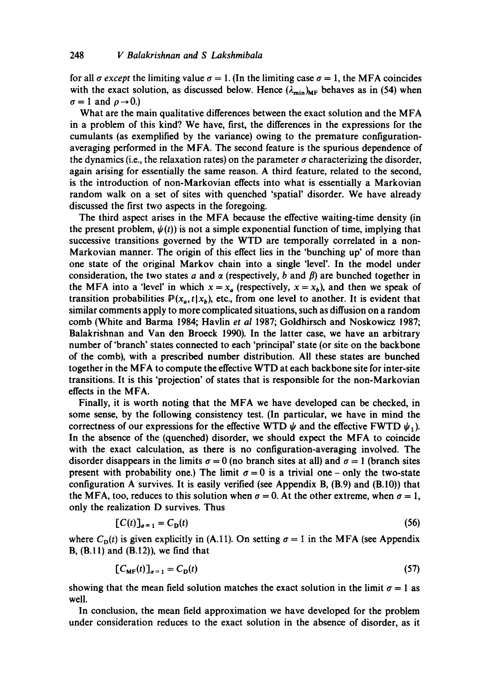for all  $\sigma$  *except* the limiting value  $\sigma = 1$ . (In the limiting case  $\sigma = 1$ , the MFA coincides with the exact solution, as discussed below. Hence  $(\lambda_{\min})_{MF}$  behaves as in (54) when  $\sigma=1$  and  $\rho\rightarrow 0.$ )

What are the main qualitative differences between the exact solution and the MFA in a problem of this kind? We have, first, the differences in the expressions for the cumulants (as exemplified by the variance) owing to the premature configurationaveraging performed in the MFA. The second feature is the spurious dependence of the dynamics (i.e., the relaxation rates) on the parameter  $\sigma$  characterizing the disorder, again arising for essentially the same reason. A third feature, related to the second, is the introduction of non-Markovian effects into what is essentially a Markovian random walk on a set of sites with quenched 'spatial' disorder. We have already discussed the first two aspects in the foregoing.

The third aspect arises in the MFA because the effective waiting-time density (in the present problem,  $\psi(t)$  is not a simple exponential function of time, implying that successive transitions governed by the WTD are temporally correlated in a non-Markovian manner. The origin of this effect lies in the 'bunching up' of more than one state of the original Markov chain into a single 'level'. In the model under consideration, the two states a and  $\alpha$  (respectively, b and  $\beta$ ) are bunched together in the MFA into a 'level' in which  $x = x_a$  (respectively,  $x = x_b$ ), and then we speak of transition probabilities  $P(x_a, t | x_b)$ , etc., from one level to another. It is evident that similar comments apply to more complicated situations, such as diffusion on a random comb (White and Barma 1984; Havlin *et al* 1987; Goldhirsch and Noskowicz 1987; Balakrishnan and Van den Broeck 1990). In the latter case, we have an arbitrary number of 'branch' states connected to each 'principal' state (or site on the backbone of the comb), with a prescribed number distribution. All these states are bunched together in the MFA to compute the effective WTD at each backbone site for inter-site transitions. It is this 'projection' of states that is responsible for the non-Markovian effects in the MFA.

Finally, it is worth noting that the MFA we have developed can be checked, in some sense, by the following consistency test. (In particular, we have in mind the correctness of our expressions for the effective WTD  $\psi$  and the effective FWTD  $\psi_1$ ). In the absence of the (quenched) disorder, we should expect the MFA to coincide with the exact calculation, as there is no configuration-averaging involved. The disorder disappears in the limits  $\sigma = 0$  (no branch sites at all) and  $\sigma = 1$  (branch sites present with probability one.) The limit  $\sigma = 0$  is a trivial one - only the two-state configuration A survives. It is easily verified (see Appendix B, (B.9) and (B.10)) that the MFA, too, reduces to this solution when  $\sigma = 0$ . At the other extreme, when  $\sigma = 1$ , only the realization D survives. Thus

$$
[C(t)]_{\sigma=1} = C_{\mathcal{D}}(t) \tag{56}
$$

where  $C_{\mathbf{D}}(t)$  is given explicitly in (A.11). On setting  $\sigma = 1$  in the MFA (see Appendix B,  $(B.11)$  and  $(B.12)$ ), we find that

$$
[C_{\text{MF}}(t)]_{\sigma=1} = C_{\text{D}}(t) \tag{57}
$$

showing that the mean field solution matches the exact solution in the limit  $\sigma = 1$  as well.

In conclusion, the mean field approximation we have developed for the problem under consideration reduces to the exact solution in the absence of disorder, as it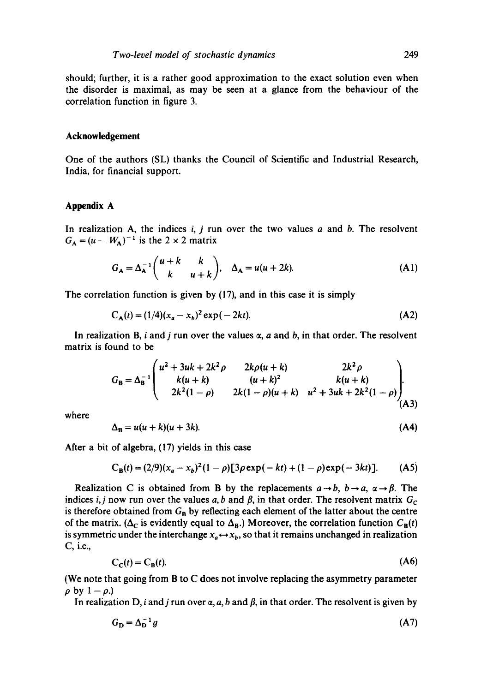should; further, it is a rather good approximation to the exact solution even when the disorder is maximal, as may be seen at a glance from the behaviour of the correlation function in figure 3.

## **Acknowledgement**

One of the authors (SL) thanks the Council of Scientific and Industrial Research, India, for financial support.

# **Appendix A**

In realization A, the indices  $i, j$  run over the two values  $a$  and  $b$ . The resolvent  $G_A = (u - W_A)^{-1}$  is the 2 × 2 matrix

$$
G_A = \Delta_A^{-1} \begin{pmatrix} u+k & k \\ k & u+k \end{pmatrix}, \quad \Delta_A = u(u+2k). \tag{A1}
$$

The correlation function is given by (17), and in this case it is simply

$$
C_A(t) = (1/4)(x_a - x_b)^2 \exp(-2kt).
$$
 (A2)

In realization B, i and j run over the values  $\alpha$ , a and b, in that order. The resolvent matrix is found to be

$$
G_{\rm B} = \Delta_{\rm B}^{-1} \begin{pmatrix} u^2 + 3uk + 2k^2 \rho & 2k\rho(u+k) & 2k^2 \rho \\ k(u+k) & (u+k)^2 & k(u+k) \\ 2k^2(1-\rho) & 2k(1-\rho)(u+k) & u^2 + 3uk + 2k^2(1-\rho) \\ (A3)
$$

where

$$
\Delta_{\mathbf{B}} = u(u+k)(u+3k). \tag{A4}
$$

After a bit of algebra, (17) yields in this case

$$
C_{B}(t) = (2/9)(x_{a} - x_{b})^{2}(1 - \rho)[3\rho \exp(-kt) + (1 - \rho)\exp(-3kt)].
$$
 (A5)

Realization C is obtained from B by the replacements  $a \rightarrow b$ ,  $b \rightarrow a$ ,  $\alpha \rightarrow \beta$ . The indices *i, j* now run over the values a, b and  $\beta$ , in that order. The resolvent matrix  $G_c$ is therefore obtained from  $G_B$  by reflecting each element of the latter about the centre of the matrix. ( $\Delta_C$  is evidently equal to  $\Delta_B$ .) Moreover, the correlation function  $C_B(t)$ is symmetric under the interchange  $x_a \leftrightarrow x_b$ , so that it remains unchanged in realization C, i.e.,

$$
C_{\mathcal{C}}(t) = C_{\mathcal{B}}(t). \tag{A6}
$$

(We note that going from B to C does not involve replacing the asymmetry parameter  $\rho$  by  $1 - \rho$ .)

In realization D, i and j run over  $\alpha$ , a, b and  $\beta$ , in that order. The resolvent is given by

$$
G_{\mathbf{D}} = \Delta_{\mathbf{D}}^{-1} g \tag{A7}
$$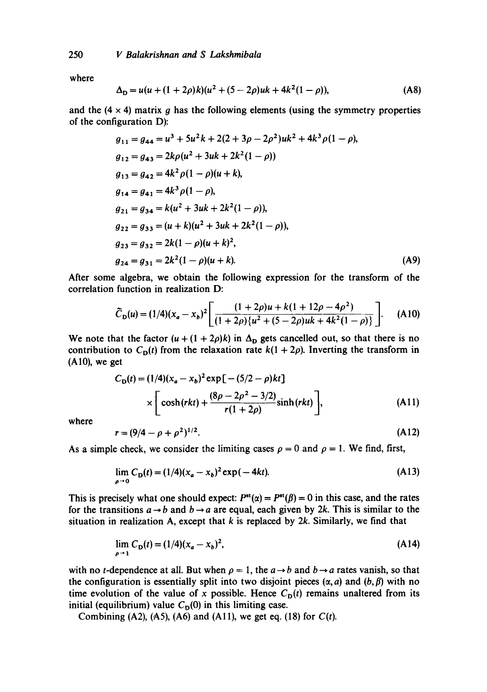where

$$
\Delta_{\mathbf{D}} = u(u + (1 + 2\rho)k)(u^2 + (5 - 2\rho)uk + 4k^2(1 - \rho)),
$$
 (A8)

and the  $(4 \times 4)$  matrix g has the following elements (using the symmetry properties of the configuration D):

$$
g_{11} = g_{44} = u^3 + 5u^2k + 2(2 + 3\rho - 2\rho^2)uk^2 + 4k^3\rho(1 - \rho),
$$
  
\n
$$
g_{12} = g_{43} = 2k\rho(u^2 + 3uk + 2k^2(1 - \rho))
$$
  
\n
$$
g_{13} = g_{42} = 4k^2\rho(1 - \rho)(u + k),
$$
  
\n
$$
g_{14} = g_{41} = 4k^3\rho(1 - \rho),
$$
  
\n
$$
g_{21} = g_{34} = k(u^2 + 3uk + 2k^2(1 - \rho)),
$$
  
\n
$$
g_{22} = g_{33} = (u + k)(u^2 + 3uk + 2k^2(1 - \rho)),
$$
  
\n
$$
g_{23} = g_{32} = 2k(1 - \rho)(u + k)^2,
$$
  
\n
$$
g_{24} = g_{31} = 2k^2(1 - \rho)(u + k).
$$
  
\n(A9)

After some algebra, we obtain the following expression for the transform of the correlation function in realization D:

$$
\widetilde{C}_{\mathbf{D}}(u) = (1/4)(x_a - x_b)^2 \left[ \frac{(1+2\rho)u + k(1+12\rho - 4\rho^2)}{(1+2\rho)\{u^2 + (5-2\rho)u + 4k^2(1-\rho)\}} \right].
$$
 (A10)

We note that the factor  $(u + (1 + 2\rho)k)$  in  $\Delta_{\mathbf{D}}$  gets cancelled out, so that there is no contribution to  $C_{\mathbf{D}}(t)$  from the relaxation rate  $k(1 + 2\rho)$ . Inverting the transform in  $(A10)$ , we get

$$
C_{\mathbf{D}}(t) = (1/4)(x_a - x_b)^2 \exp[-(5/2 - \rho)kt]
$$
  
 
$$
\times \left[ \cosh(rkt) + \frac{(8\rho - 2\rho^2 - 3/2)}{r(1 + 2\rho)} \sinh(rkt) \right],
$$
 (A11)

where

$$
r = (9/4 - \rho + \rho^2)^{1/2}.
$$
 (A12)

As a simple check, we consider the limiting cases  $\rho = 0$  and  $\rho = 1$ . We find, first,

$$
\lim_{\rho \to 0} C_{\mathbf{D}}(t) = (1/4)(x_a - x_b)^2 \exp(-4kt). \tag{A13}
$$

This is precisely what one should expect:  $P^{st}(\alpha) = P^{st}(\beta) = 0$  in this case, and the rates for the transitions  $a \rightarrow b$  and  $b \rightarrow a$  are equal, each given by 2k. This is similar to the situation in realization A, except that  $k$  is replaced by  $2k$ . Similarly, we find that

$$
\lim_{\rho \to 1} C_{\mathbf{D}}(t) = (1/4)(x_a - x_b)^2,
$$
\n(A14)

with no *t*-dependence at all. But when  $\rho = 1$ , the  $a \rightarrow b$  and  $b \rightarrow a$  rates vanish, so that the configuration is essentially split into two disjoint pieces  $(\alpha, a)$  and  $(b, \beta)$  with no time evolution of the value of x possible. Hence  $C<sub>D</sub>(t)$  remains unaltered from its initial (equilibrium) value  $C_D(0)$  in this limiting case.

Combining  $(A2)$ ,  $(A5)$ ,  $(A6)$  and  $(A11)$ , we get eq.  $(18)$  for  $C(t)$ .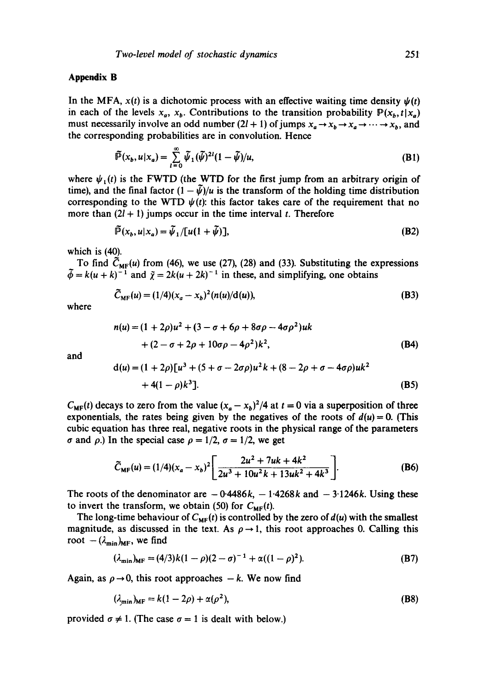# **Appendix B**

In the MFA,  $x(t)$  is a dichotomic process with an effective waiting time density  $\psi(t)$ in each of the levels  $x_a$ ,  $x_b$ . Contributions to the transition probability  $P(x_b, t|x_a)$ must necessarily involve an odd number  $(2l + 1)$  of jumps  $x_a \rightarrow x_b \rightarrow x_a \rightarrow \cdots \rightarrow x_b$ , and the corresponding probabilities are in convolution. Hence

$$
\widetilde{\mathbb{P}}(x_b, u|x_a) = \sum_{l=0}^{\infty} \widetilde{\psi}_1(\widetilde{\psi})^{2l} (1 - \widetilde{\psi})/u,
$$
\n(B1)

where  $\psi_1(t)$  is the FWTD (the WTD for the first jump from an arbitrary origin of time), and the final factor  $(1 - \tilde{\psi})/u$  is the transform of the holding time distribution corresponding to the WTD  $\psi(t)$ : this factor takes care of the requirement that no more than  $(2l + 1)$  jumps occur in the time interval t. Therefore

$$
\tilde{\mathbb{P}}(x_b, u|x_a) = \tilde{\psi}_1 / [u(1 + \tilde{\psi})],\tag{B2}
$$

which is (40).

To find  $C_{MF}(u)$  from (46), we use (27), (28) and (33). Substituting the expressions  $= k(u + k)^{-1}$  and  $\tilde{\chi} = 2k(u + 2k)^{-1}$  in these, and simplifying, one obtains

$$
\tilde{C}_{MF}(u) = (1/4)(x_a - x_b)^2 (n(u)/d(u)),
$$
\n(B3)

where

$$
n(u) = (1 + 2\rho)u^{2} + (3 - \sigma + 6\rho + 8\sigma\rho - 4\sigma\rho^{2})uk
$$
  
+ 
$$
(2 - \sigma + 2\rho + 10\sigma\rho - 4\rho^{2})k^{2},
$$
 (B4)

and

$$
d(u) = (1 + 2\rho)[u3 + (5 + \sigma - 2\sigma\rho)u2k + (8 - 2\rho + \sigma - 4\sigma\rho)uk2 + 4(1 - \rho)k3].
$$
 (B5)

 $C_{MF}(t)$  decays to zero from the value  $(x_a - x_b)^2/4$  at  $t = 0$  via a superposition of three exponentials, the rates being given by the negatives of the roots of  $d(u) = 0$ . (This cubic equation has three real, negative roots in the physical range of the parameters  $\sigma$  and  $\rho$ .) In the special case  $\rho = 1/2$ ,  $\sigma = 1/2$ , we get

$$
\widetilde{C}_{\text{MF}}(u) = (1/4)(x_a - x_b)^2 \left[ \frac{2u^2 + 7uk + 4k^2}{2u^3 + 10u^2k + 13uk^2 + 4k^3} \right].
$$
 (B6)

The roots of the denominator are  $-0.4486k$ ,  $-1.4268k$  and  $-3.1246k$ . Using these to invert the transform, we obtain (50) for  $C_{MF}(t)$ .

The long-time behaviour of  $C_{MF}(t)$  is controlled by the zero of  $d(u)$  with the smallest magnitude, as discussed in the text. As  $\rho \rightarrow 1$ , this root approaches 0. Calling this root  $-(\lambda_{\min})_{\text{MF}}$ , we find

$$
(\lambda_{\min})_{MF} = (4/3)k(1-\rho)(2-\sigma)^{-1} + \alpha((1-\rho)^2). \tag{B7}
$$

Again, as  $\rho \rightarrow 0$ , this root approaches  $-k$ . We now find

$$
(\lambda_{\min})_{\text{MF}} = k(1 - 2\rho) + \alpha(\rho^2),\tag{B8}
$$

provided  $\sigma \neq 1$ . (The case  $\sigma = 1$  is dealt with below.)